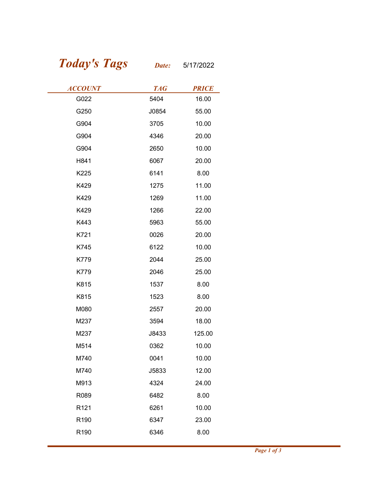## Today's Tags Date: 5/17/2022

| <b>Today's Tags</b> | Date:      | 5/17/2022    |
|---------------------|------------|--------------|
| <b>ACCOUNT</b>      | <b>TAG</b> | <b>PRICE</b> |
| G022                | 5404       | 16.00        |
| G250                | J0854      | 55.00        |
| G904                | 3705       | 10.00        |
| G904                | 4346       | 20.00        |
| G904                | 2650       | 10.00        |
| H841                | 6067       | 20.00        |
| K225                | 6141       | 8.00         |
| K429                | 1275       | 11.00        |
| K429                | 1269       | 11.00        |
| K429                | 1266       | 22.00        |
| K443                | 5963       | 55.00        |
| K721                | 0026       | 20.00        |
| K745                | 6122       | 10.00        |
| K779                | 2044       | 25.00        |
| K779                | 2046       | 25.00        |
| K815                | 1537       | 8.00         |
| K815                | 1523       | 8.00         |
| M080                | 2557       | 20.00        |
| M237                | 3594       | 18.00        |
| M237                | J8433      | 125.00       |
| M514                | 0362       | 10.00        |
| M740                | 0041       | 10.00        |
| M740                | J5833      | 12.00        |
| M913                | 4324       | 24.00        |
| R089                | 6482       | 8.00         |
| R <sub>121</sub>    | 6261       | 10.00        |
| R190                | 6347       | 23.00        |
| R190                | 6346       | 8.00         |
|                     |            |              |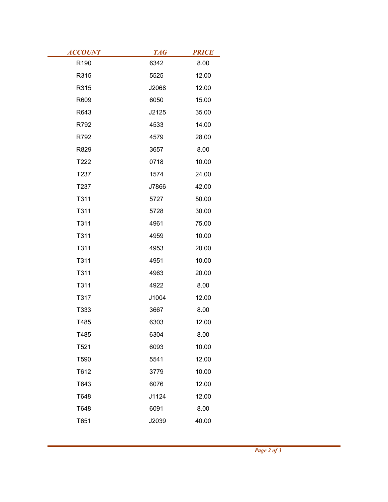| <b>ACCOUNT</b> | <b>TAG</b>    | <b>PRICE</b>   |
|----------------|---------------|----------------|
| R190           | 6342          | 8.00           |
| R315           | 5525          | 12.00          |
| R315           | J2068         | 12.00          |
| R609           | 6050          | 15.00          |
| R643           | J2125         | 35.00          |
| R792           | 4533          | 14.00          |
| R792           | 4579          | 28.00          |
| R829<br>T222   | 3657          | 8.00           |
|                | 0718          | 10.00          |
| T237<br>T237   | 1574<br>J7866 | 24.00<br>42.00 |
| T311           | 5727          | 50.00          |
| T311           | 5728          | 30.00          |
| T311           | 4961          | 75.00          |
| T311           | 4959          | 10.00          |
| T311           | 4953          | 20.00          |
| T311           | 4951          | 10.00          |
| T311           | 4963          | 20.00          |
| T311           | 4922          | 8.00           |
| T317           | J1004         | 12.00          |
| T333           | 3667          | 8.00           |
| T485           | 6303          | 12.00          |
| T485           | 6304          | 8.00           |
| T521           | 6093          | 10.00          |
| T590           | 5541          | 12.00          |
| T612           | 3779          | 10.00          |
| T643           | 6076          | 12.00          |
| T648           | J1124         | 12.00          |
| T648           | 6091          | 8.00           |
| T651           | J2039         | 40.00          |